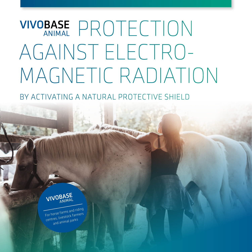# VIVOBASE PROTECTION AGAINST ELECTRO-MAGNETIC RADIATION

**Johnson How WARNER** 

BY ACTIVATING A NATURAL PROTECTIVE SHIFLD



For horse farms and riding centres, livestock farmers and animal parks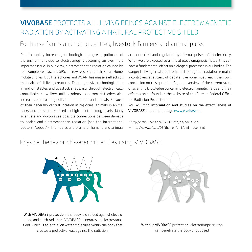## VIVOBASE PROTECTS ALL LIVING BEINGS AGAINST ELECTROMAGNETIC RADIATION BY ACTIVATING A NATURAL PROTECTIVE SHIELD

### For horse farms and riding centres, livestock farmers and animal parks

Due to rapidly increasing technological progress, pollution of the environment due to electrosmog is becoming an ever more important issue. In our view, electromagnetic radiation caused by, for example, cell towers, GPS, microwaves, Bluetooth, Smart Home, mobile phones, DECT telephones and WLAN, has massive effects on the health of all living creatures. The progressive technologisation in and on stables and livestock sheds, e.g. through electronically controlled horse walkers, milking robots and automatic feeders, also increases electrosmog pollution for humans and animals. Because of their generally central location in big cities, animals in animal parks and zoos are exposed to high electric smog levels. Many scientists and doctors see possible connections between damage to health and electromagnetic radiation (see the International Doctors' Appeal\*). The hearts and brains of humans and animals

are controlled and regulated by internal pulses of bioelectricity. When we are exposed to artificial electromagnetic fields, this can have a fundamental effect on biological processes in our bodies. The danger to living creatures from electromagnetic radiation remains a controversial subject of debate. Everyone must reach their own conclusion on this question. A good overview of the current state of scientific knowledge concerning electromagnetic fields and their effects can be found on the website of the German Federal Office for Radiation Protection\*\*.

You will find information and studies on the effectiveness of VIVOBASE on our homepage www.vivobase.de.

\* http://freiburger-appell-2012.info/de/home.php \*\* http://www.bfs.de/DE/themen/emf/emf\_node.html

#### Physical behavior of water molecules using VIVOBASE



With VIVOBASE protection: the body is shielded against electro smog and earth radiation. VIVOBASE generates an electrostatic field, which is able to align water molecules within the body that creates a protective wall against the radiation.



Without VIVOBASE protection: electromagnetic rays can penetrate the body unopposed.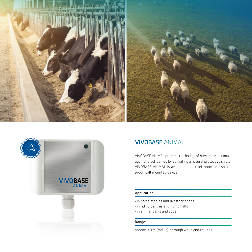



## VIVOBASE ANIMAL

VIVOBASE ANIMAL protects the bodies of humans and animals against electrosmog by activating a natural protective shield. VIVOBASE ANIMAL is available as a thief proof and splash proof wall mounted device.

#### Application:

- › in horse stables and livestock sheds
- › in riding centres and riding halls
- › in animal parks and zoos

#### Range:

approx. 40 m (radius), through walls and ceilings